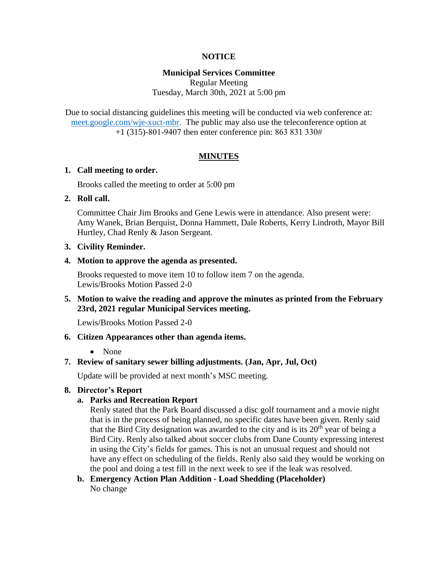### **NOTICE**

### **Municipal Services Committee**

Regular Meeting Tuesday, March 30th, 2021 at 5:00 pm

Due to social distancing guidelines this meeting will be conducted via web conference at: [meet.google.com/wje-xuct-mbr.](meet.google.com/wje-xuct-mbr) The public may also use the teleconference option at +1 (315)-801-9407 then enter conference pin: 863 831 330#

### **MINUTES**

#### **1. Call meeting to order.**

Brooks called the meeting to order at 5:00 pm

### **2. Roll call.**

Committee Chair Jim Brooks and Gene Lewis were in attendance. Also present were: Amy Wanek, Brian Berquist, Donna Hammett, Dale Roberts, Kerry Lindroth, Mayor Bill Hurtley, Chad Renly & Jason Sergeant.

#### **3. Civility Reminder.**

**4. Motion to approve the agenda as presented.**

Brooks requested to move item 10 to follow item 7 on the agenda. Lewis/Brooks Motion Passed 2-0

### **5. Motion to waive the reading and approve the minutes as printed from the February 23rd, 2021 regular Municipal Services meeting.**

Lewis/Brooks Motion Passed 2-0

### **6. Citizen Appearances other than agenda items.**

### • None

### **7. Review of sanitary sewer billing adjustments. (Jan, Apr, Jul, Oct)**

Update will be provided at next month's MSC meeting.

### **8. Director's Report**

### **a. Parks and Recreation Report**

Renly stated that the Park Board discussed a disc golf tournament and a movie night that is in the process of being planned, no specific dates have been given. Renly said that the Bird City designation was awarded to the city and is its  $20<sup>th</sup>$  year of being a Bird City. Renly also talked about soccer clubs from Dane County expressing interest in using the City's fields for games. This is not an unusual request and should not have any effect on scheduling of the fields. Renly also said they would be working on the pool and doing a test fill in the next week to see if the leak was resolved.

**b. Emergency Action Plan Addition - Load Shedding (Placeholder)** No change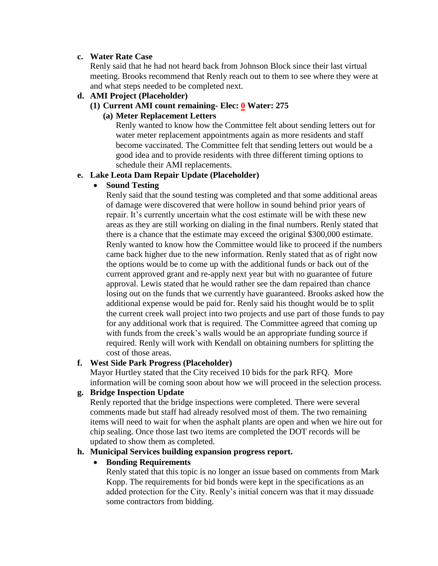### **c. Water Rate Case**

Renly said that he had not heard back from Johnson Block since their last virtual meeting. Brooks recommend that Renly reach out to them to see where they were at and what steps needed to be completed next.

## **d. AMI Project (Placeholder)**

# **(1) Current AMI count remaining- Elec: 0 Water: 275**

# **(a) Meter Replacement Letters**

Renly wanted to know how the Committee felt about sending letters out for water meter replacement appointments again as more residents and staff become vaccinated. The Committee felt that sending letters out would be a good idea and to provide residents with three different timing options to schedule their AMI replacements.

### **e. Lake Leota Dam Repair Update (Placeholder)**

## **•** Sound Testing

Renly said that the sound testing was completed and that some additional areas of damage were discovered that were hollow in sound behind prior years of repair. It's currently uncertain what the cost estimate will be with these new areas as they are still working on dialing in the final numbers. Renly stated that there is a chance that the estimate may exceed the original \$300,000 estimate. Renly wanted to know how the Committee would like to proceed if the numbers came back higher due to the new information. Renly stated that as of right now the options would be to come up with the additional funds or back out of the current approved grant and re-apply next year but with no guarantee of future approval. Lewis stated that he would rather see the dam repaired than chance losing out on the funds that we currently have guaranteed. Brooks asked how the additional expense would be paid for. Renly said his thought would be to split the current creek wall project into two projects and use part of those funds to pay for any additional work that is required. The Committee agreed that coming up with funds from the creek's walls would be an appropriate funding source if required. Renly will work with Kendall on obtaining numbers for splitting the cost of those areas.

## **f. West Side Park Progress (Placeholder)**

Mayor Hurtley stated that the City received 10 bids for the park RFQ. More information will be coming soon about how we will proceed in the selection process.

## **g. Bridge Inspection Update**

Renly reported that the bridge inspections were completed. There were several comments made but staff had already resolved most of them. The two remaining items will need to wait for when the asphalt plants are open and when we hire out for chip sealing. Once those last two items are completed the DOT records will be updated to show them as completed.

## **h. Municipal Services building expansion progress report.**

## **Bonding Requirements**

Renly stated that this topic is no longer an issue based on comments from Mark Kopp. The requirements for bid bonds were kept in the specifications as an added protection for the City. Renly's initial concern was that it may dissuade some contractors from bidding.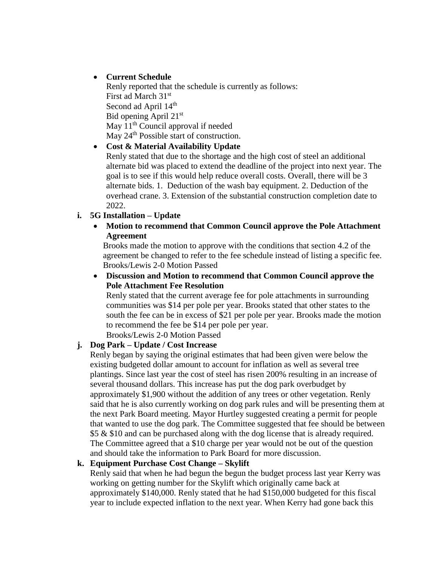# **Current Schedule**

Renly reported that the schedule is currently as follows: First ad March 31st Second ad April  $14<sup>th</sup>$ Bid opening April 21st May  $11<sup>th</sup>$  Council approval if needed May  $24<sup>th</sup>$  Possible start of construction.

# **Cost & Material Availability Update**

Renly stated that due to the shortage and the high cost of steel an additional alternate bid was placed to extend the deadline of the project into next year. The goal is to see if this would help reduce overall costs. Overall, there will be 3 alternate bids. 1. Deduction of the wash bay equipment. 2. Deduction of the overhead crane. 3. Extension of the substantial construction completion date to 2022.

## **i. 5G Installation – Update**

 **Motion to recommend that Common Council approve the Pole Attachment Agreement**

Brooks made the motion to approve with the conditions that section 4.2 of the agreement be changed to refer to the fee schedule instead of listing a specific fee. Brooks/Lewis 2-0 Motion Passed

 **Discussion and Motion to recommend that Common Council approve the Pole Attachment Fee Resolution**

Renly stated that the current average fee for pole attachments in surrounding communities was \$14 per pole per year. Brooks stated that other states to the south the fee can be in excess of \$21 per pole per year. Brooks made the motion to recommend the fee be \$14 per pole per year.

Brooks/Lewis 2-0 Motion Passed

## **j. Dog Park – Update / Cost Increase**

Renly began by saying the original estimates that had been given were below the existing budgeted dollar amount to account for inflation as well as several tree plantings. Since last year the cost of steel has risen 200% resulting in an increase of several thousand dollars. This increase has put the dog park overbudget by approximately \$1,900 without the addition of any trees or other vegetation. Renly said that he is also currently working on dog park rules and will be presenting them at the next Park Board meeting. Mayor Hurtley suggested creating a permit for people that wanted to use the dog park. The Committee suggested that fee should be between \$5 & \$10 and can be purchased along with the dog license that is already required. The Committee agreed that a \$10 charge per year would not be out of the question and should take the information to Park Board for more discussion.

## **k. Equipment Purchase Cost Change – Skylift**

Renly said that when he had begun the begun the budget process last year Kerry was working on getting number for the Skylift which originally came back at approximately \$140,000. Renly stated that he had \$150,000 budgeted for this fiscal year to include expected inflation to the next year. When Kerry had gone back this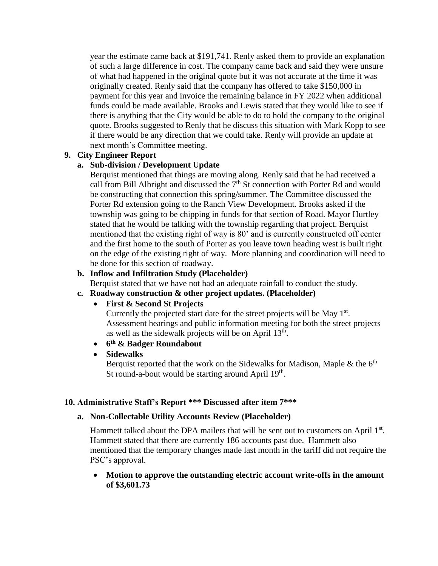year the estimate came back at \$191,741. Renly asked them to provide an explanation of such a large difference in cost. The company came back and said they were unsure of what had happened in the original quote but it was not accurate at the time it was originally created. Renly said that the company has offered to take \$150,000 in payment for this year and invoice the remaining balance in FY 2022 when additional funds could be made available. Brooks and Lewis stated that they would like to see if there is anything that the City would be able to do to hold the company to the original quote. Brooks suggested to Renly that he discuss this situation with Mark Kopp to see if there would be any direction that we could take. Renly will provide an update at next month's Committee meeting.

### **9. City Engineer Report**

### **a. Sub-division / Development Update**

Berquist mentioned that things are moving along. Renly said that he had received a call from Bill Albright and discussed the  $7<sup>th</sup>$  St connection with Porter Rd and would be constructing that connection this spring/summer. The Committee discussed the Porter Rd extension going to the Ranch View Development. Brooks asked if the township was going to be chipping in funds for that section of Road. Mayor Hurtley stated that he would be talking with the township regarding that project. Berquist mentioned that the existing right of way is 80' and is currently constructed off center and the first home to the south of Porter as you leave town heading west is built right on the edge of the existing right of way. More planning and coordination will need to be done for this section of roadway.

### **b. Inflow and Infiltration Study (Placeholder)**

Berquist stated that we have not had an adequate rainfall to conduct the study.

### **c. Roadway construction & other project updates. (Placeholder)**

### **First & Second St Projects**

Currently the projected start date for the street projects will be May 1<sup>st</sup>. Assessment hearings and public information meeting for both the street projects as well as the sidewalk projects will be on April  $13<sup>th</sup>$ .

**6 th & Badger Roundabout**

# **Sidewalks**

Berquist reported that the work on the Sidewalks for Madison, Maple  $\&$  the 6<sup>th</sup> St round-a-bout would be starting around April 19<sup>th</sup>.

### **10. Administrative Staff's Report \*\*\* Discussed after item 7\*\*\***

### **a. Non-Collectable Utility Accounts Review (Placeholder)**

Hammett talked about the DPA mailers that will be sent out to customers on April  $1<sup>st</sup>$ . Hammett stated that there are currently 186 accounts past due. Hammett also mentioned that the temporary changes made last month in the tariff did not require the PSC's approval.

 **Motion to approve the outstanding electric account write-offs in the amount of \$3,601.73**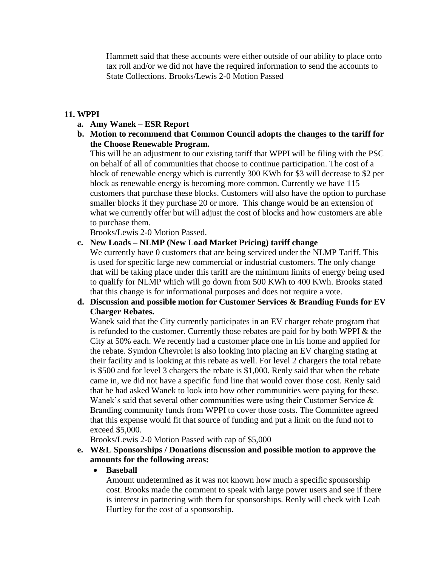Hammett said that these accounts were either outside of our ability to place onto tax roll and/or we did not have the required information to send the accounts to State Collections. Brooks/Lewis 2-0 Motion Passed

### **11. WPPI**

### **a. Amy Wanek – ESR Report**

**b. Motion to recommend that Common Council adopts the changes to the tariff for the Choose Renewable Program.**

This will be an adjustment to our existing tariff that WPPI will be filing with the PSC on behalf of all of communities that choose to continue participation. The cost of a block of renewable energy which is currently 300 KWh for \$3 will decrease to \$2 per block as renewable energy is becoming more common. Currently we have 115 customers that purchase these blocks. Customers will also have the option to purchase smaller blocks if they purchase 20 or more. This change would be an extension of what we currently offer but will adjust the cost of blocks and how customers are able to purchase them.

Brooks/Lewis 2-0 Motion Passed.

### **c. New Loads – NLMP (New Load Market Pricing) tariff change**

We currently have 0 customers that are being serviced under the NLMP Tariff. This is used for specific large new commercial or industrial customers. The only change that will be taking place under this tariff are the minimum limits of energy being used to qualify for NLMP which will go down from 500 KWh to 400 KWh. Brooks stated that this change is for informational purposes and does not require a vote.

## **d. Discussion and possible motion for Customer Services & Branding Funds for EV Charger Rebates.**

Wanek said that the City currently participates in an EV charger rebate program that is refunded to the customer. Currently those rebates are paid for by both WPPI & the City at 50% each. We recently had a customer place one in his home and applied for the rebate. Symdon Chevrolet is also looking into placing an EV charging stating at their facility and is looking at this rebate as well. For level 2 chargers the total rebate is \$500 and for level 3 chargers the rebate is \$1,000. Renly said that when the rebate came in, we did not have a specific fund line that would cover those cost. Renly said that he had asked Wanek to look into how other communities were paying for these. Wanek's said that several other communities were using their Customer Service & Branding community funds from WPPI to cover those costs. The Committee agreed that this expense would fit that source of funding and put a limit on the fund not to exceed \$5,000.

Brooks/Lewis 2-0 Motion Passed with cap of \$5,000

### **e. W&L Sponsorships / Donations discussion and possible motion to approve the amounts for the following areas:**

### **Baseball**

Amount undetermined as it was not known how much a specific sponsorship cost. Brooks made the comment to speak with large power users and see if there is interest in partnering with them for sponsorships. Renly will check with Leah Hurtley for the cost of a sponsorship.